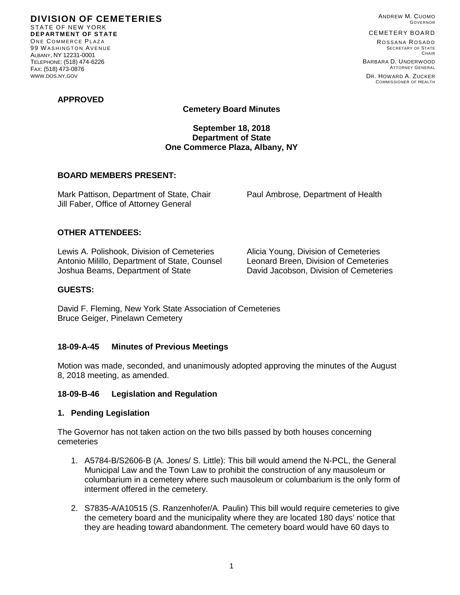ANDREW M. CUOMO GOVERNOR

### CEMETERY BOARD

ROSSANA ROSADO SECRETARY OF STATE **CHAIR** 

COMMISSIONER OF HEALTH

BARBARA D. UNDERWOOD ATTORNEY GENERAL DR. HOWARD A. ZUCKER

**APPROVED**

STATE OF NEW YORK **DEPARTMENT OF STATE** ONE COMMERCE PLAZA 99 W ASHINGTON AVENUE ALBANY, NY 12231-0001 TELEPHONE: (518) 474-6226 FAX: (518) 473-0876 WWW.DOS.NY.GOV

**DIVISION OF CEMETERIES**

## **Cemetery Board Minutes**

## **September 18, 2018 Department of State One Commerce Plaza, Albany, NY**

### **BOARD MEMBERS PRESENT:**

Mark Pattison, Department of State, Chair Paul Ambrose, Department of Health Jill Faber, Office of Attorney General

### **OTHER ATTENDEES:**

Lewis A. Polishook, Division of Cemeteries Alicia Young, Division of Cemeteries Antonio Milillo, Department of State, Counsel Leonard Breen, Division of Cemeteries<br>Joshua Beams. Department of State David Jacobson. Division of Cemeteries Joshua Beams, Department of State

### **GUESTS:**

David F. Fleming, New York State Association of Cemeteries Bruce Geiger, Pinelawn Cemetery

### **18-09-A-45 Minutes of Previous Meetings**

Motion was made, seconded, and unanimously adopted approving the minutes of the August 8, 2018 meeting, as amended.

### **18-09-B-46 Legislation and Regulation**

### **1. Pending Legislation**

The Governor has not taken action on the two bills passed by both houses concerning cemeteries

- 1. A5784-B/S2606-B (A. Jones/ S. Little): This bill would amend the N-PCL, the General Municipal Law and the Town Law to prohibit the construction of any mausoleum or columbarium in a cemetery where such mausoleum or columbarium is the only form of interment offered in the cemetery.
- 2. S7835-A/A10515 (S. Ranzenhofer/A. Paulin) This bill would require cemeteries to give the cemetery board and the municipality where they are located 180 days' notice that they are heading toward abandonment. The cemetery board would have 60 days to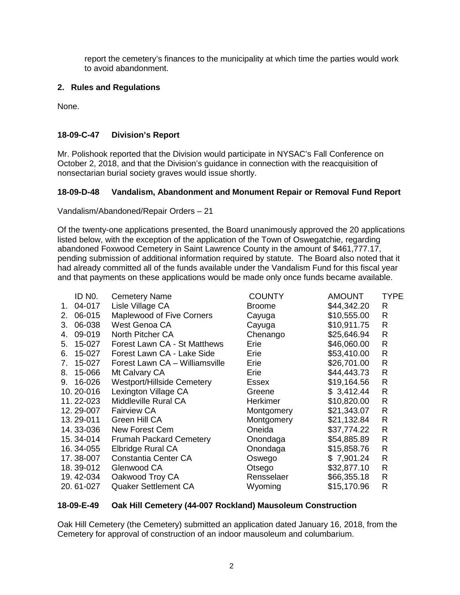report the cemetery's finances to the municipality at which time the parties would work to avoid abandonment.

# **2. Rules and Regulations**

None.

# **18-09-C-47 Division's Report**

Mr. Polishook reported that the Division would participate in NYSAC's Fall Conference on October 2, 2018, and that the Division's guidance in connection with the reacquisition of nonsectarian burial society graves would issue shortly.

# **18-09-D-48 Vandalism, Abandonment and Monument Repair or Removal Fund Report**

Vandalism/Abandoned/Repair Orders – 21

Of the twenty-one applications presented, the Board unanimously approved the 20 applications listed below, with the exception of the application of the Town of Oswegatchie, regarding abandoned Foxwood Cemetery in Saint Lawrence County in the amount of \$461,777.17, pending submission of additional information required by statute. The Board also noted that it had already committed all of the funds available under the Vandalism Fund for this fiscal year and that payments on these applications would be made only once funds became available.

|    | ID NO.    | <b>Cemetery Name</b>              | <b>COUNTY</b>   | AMOUNT      | <b>TYPE</b>  |
|----|-----------|-----------------------------------|-----------------|-------------|--------------|
| 1. | 04-017    | Lisle Village CA                  | <b>Broome</b>   | \$44,342.20 | R            |
| 2. | 06-015    | Maplewood of Five Corners         | Cayuga          | \$10,555.00 | R            |
| 3. | 06-038    | West Genoa CA                     | Cayuga          | \$10,911.75 | R            |
| 4. | 09-019    | North Pitcher CA                  | Chenango        | \$25,646.94 | R            |
| 5. | 15-027    | Forest Lawn CA - St Matthews      | Erie            | \$46,060.00 | R            |
| 6. | 15-027    | Forest Lawn CA - Lake Side        | Erie            | \$53,410.00 | R            |
| 7. | 15-027    | Forest Lawn CA - Williamsville    | Erie            | \$26,701.00 | R            |
| 8. | 15-066    | Mt Calvary CA                     | Erie            | \$44,443.73 | R            |
| 9. | 16-026    | <b>Westport/Hillside Cemetery</b> | Essex           | \$19,164.56 | R            |
|    | 10.20-016 | Lexington Village CA              | Greene          | \$3,412.44  | R            |
|    | 11.22-023 | Middleville Rural CA              | <b>Herkimer</b> | \$10,820.00 | R            |
|    | 12.29-007 | <b>Fairview CA</b>                | Montgomery      | \$21,343.07 | R            |
|    | 13.29-011 | Green Hill CA                     | Montgomery      | \$21,132.84 | R            |
|    | 14.33-036 | New Forest Cem                    | Oneida          | \$37,774.22 | R            |
|    | 15.34-014 | <b>Frumah Packard Cemetery</b>    | Onondaga        | \$54,885.89 | R            |
|    | 16.34-055 | Elbridge Rural CA                 | Onondaga        | \$15,858.76 | $\mathsf{R}$ |
|    | 17.38-007 | <b>Constantia Center CA</b>       | Oswego          | \$7,901.24  | R            |
|    | 18.39-012 | Glenwood CA                       | Otsego          | \$32,877.10 | R            |
|    | 19.42-034 | Oakwood Troy CA                   | Rensselaer      | \$66,355.18 | R            |
|    | 20.61-027 | <b>Quaker Settlement CA</b>       | Wyoming         | \$15,170.96 | R            |
|    |           |                                   |                 |             |              |

# **18-09-E-49 Oak Hill Cemetery (44-007 Rockland) Mausoleum Construction**

Oak Hill Cemetery (the Cemetery) submitted an application dated January 16, 2018, from the Cemetery for approval of construction of an indoor mausoleum and columbarium.